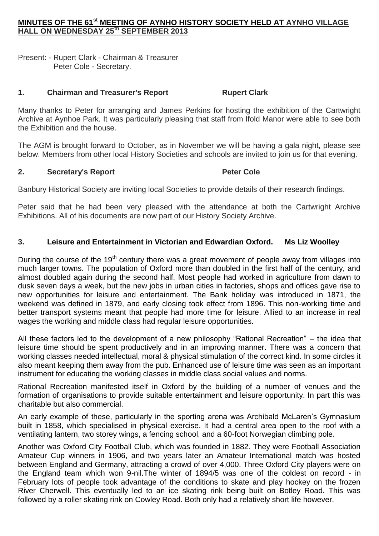# **MINUTES OF THE 61st MEETING OF AYNHO HISTORY SOCIETY HELD AT AYNHO VILLAGE HALL ON WEDNESDAY 25th SEPTEMBER 2013**

Present: - Rupert Clark - Chairman & Treasurer Peter Cole - Secretary.

### **1. Chairman and Treasurer's Report Rupert Clark**

Many thanks to Peter for arranging and James Perkins for hosting the exhibition of the Cartwright Archive at Aynhoe Park. It was particularly pleasing that staff from Ifold Manor were able to see both the Exhibition and the house.

The AGM is brought forward to October, as in November we will be having a gala night, please see below. Members from other local History Societies and schools are invited to join us for that evening.

### **2. Secretary's Report Peter Cole**

Banbury Historical Society are inviting local Societies to provide details of their research findings.

Peter said that he had been very pleased with the attendance at both the Cartwright Archive Exhibitions. All of his documents are now part of our History Society Archive.

## **3. Leisure and Entertainment in Victorian and Edwardian Oxford. Ms Liz Woolley**

During the course of the 19<sup>th</sup> century there was a great movement of people away from villages into much larger towns. The population of Oxford more than doubled in the first half of the century, and almost doubled again during the second half. Most people had worked in agriculture from dawn to dusk seven days a week, but the new jobs in urban cities in factories, shops and offices gave rise to new opportunities for leisure and entertainment. The Bank holiday was introduced in 1871, the weekend was defined in 1879, and early closing took effect from 1896. This non-working time and better transport systems meant that people had more time for leisure. Allied to an increase in real wages the working and middle class had regular leisure opportunities.

All these factors led to the development of a new philosophy "Rational Recreation" – the idea that leisure time should be spent productively and in an improving manner. There was a concern that working classes needed intellectual, moral & physical stimulation of the correct kind. In some circles it also meant keeping them away from the pub. Enhanced use of leisure time was seen as an important instrument for educating the working classes in middle class social values and norms.

Rational Recreation manifested itself in Oxford by the building of a number of venues and the formation of organisations to provide suitable entertainment and leisure opportunity. In part this was charitable but also commercial.

An early example of these, particularly in the sporting arena was Archibald McLaren's Gymnasium built in 1858, which specialised in physical exercise. It had a central area open to the roof with a ventilating lantern, two storey wings, a fencing school, and a 60-foot Norwegian climbing pole.

Another was Oxford City Football Club, which was founded in 1882. They were Football Association Amateur Cup winners in 1906, and two years later an Amateur International match was hosted between England and Germany, attracting a crowd of over 4,000. Three Oxford City players were on the England team which won 9-nil.The winter of 1894/5 was one of the coldest on record - in February lots of people took advantage of the conditions to skate and play hockey on the frozen River Cherwell. This eventually led to an ice skating rink being built on Botley Road. This was followed by a roller skating rink on Cowley Road. Both only had a relatively short life however.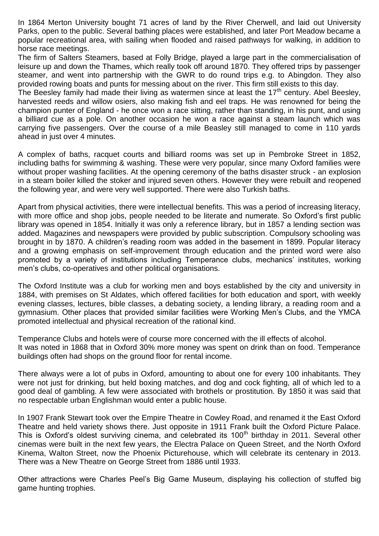In 1864 Merton University bought 71 acres of land by the River Cherwell, and laid out University Parks, open to the public. Several bathing places were established, and later Port Meadow became a popular recreational area, with sailing when flooded and raised pathways for walking, in addition to horse race meetings.

The firm of Salters Steamers, based at Folly Bridge, played a large part in the commercialisation of leisure up and down the Thames, which really took off around 1870. They offered trips by passenger steamer, and went into partnership with the GWR to do round trips e.g. to Abingdon. They also provided rowing boats and punts for messing about on the river. This firm still exists to this day.

The Beesley family had made their living as watermen since at least the  $17<sup>th</sup>$  century. Abel Beesley, harvested reeds and willow osiers, also making fish and eel traps. He was renowned for being the champion punter of England - he once won a race sitting, rather than standing, in his punt, and using a billiard cue as a pole. On another occasion he won a race against a steam launch which was carrying five passengers. Over the course of a mile Beasley still managed to come in 110 yards ahead in just over 4 minutes.

A complex of baths, racquet courts and billiard rooms was set up in Pembroke Street in 1852, including baths for swimming & washing. These were very popular, since many Oxford families were without proper washing facilities. At the opening ceremony of the baths disaster struck - an explosion in a steam boiler killed the stoker and injured seven others. However they were rebuilt and reopened the following year, and were very well supported. There were also Turkish baths.

Apart from physical activities, there were intellectual benefits. This was a period of increasing literacy, with more office and shop jobs, people needed to be literate and numerate. So Oxford's first public library was opened in 1854. Initially it was only a reference library, but in 1857 a lending section was added. Magazines and newspapers were provided by public subscription. Compulsory schooling was brought in by 1870. A children's reading room was added in the basement in 1899. Popular literacy and a growing emphasis on self-improvement through education and the printed word were also promoted by a variety of institutions including Temperance clubs, mechanics' institutes, working men's clubs, co-operatives and other political organisations.

The Oxford Institute was a club for working men and boys established by the city and university in 1884, with premises on St Aldates, which offered facilities for both education and sport, with weekly evening classes, lectures, bible classes, a debating society, a lending library, a reading room and a gymnasium. Other places that provided similar facilities were Working Men's Clubs, and the YMCA promoted intellectual and physical recreation of the rational kind.

Temperance Clubs and hotels were of course more concerned with the ill effects of alcohol. It was noted in 1868 that in Oxford 30% more money was spent on drink than on food. Temperance buildings often had shops on the ground floor for rental income.

There always were a lot of pubs in Oxford, amounting to about one for every 100 inhabitants. They were not just for drinking, but held boxing matches, and dog and cock fighting, all of which led to a good deal of gambling. A few were associated with brothels or prostitution. By 1850 it was said that no respectable urban Englishman would enter a public house.

In 1907 Frank Stewart took over the Empire Theatre in Cowley Road, and renamed it the East Oxford Theatre and held variety shows there. Just opposite in 1911 Frank built the Oxford Picture Palace. This is Oxford's oldest surviving cinema, and celebrated its 100<sup>th</sup> birthday in 2011. Several other cinemas were built in the next few years, the Electra Palace on Queen Street, and the North Oxford Kinema, Walton Street, now the Phoenix Picturehouse, which will celebrate its centenary in 2013. There was a New Theatre on George Street from 1886 until 1933.

Other attractions were Charles Peel's Big Game Museum, displaying his collection of stuffed big game hunting trophies.